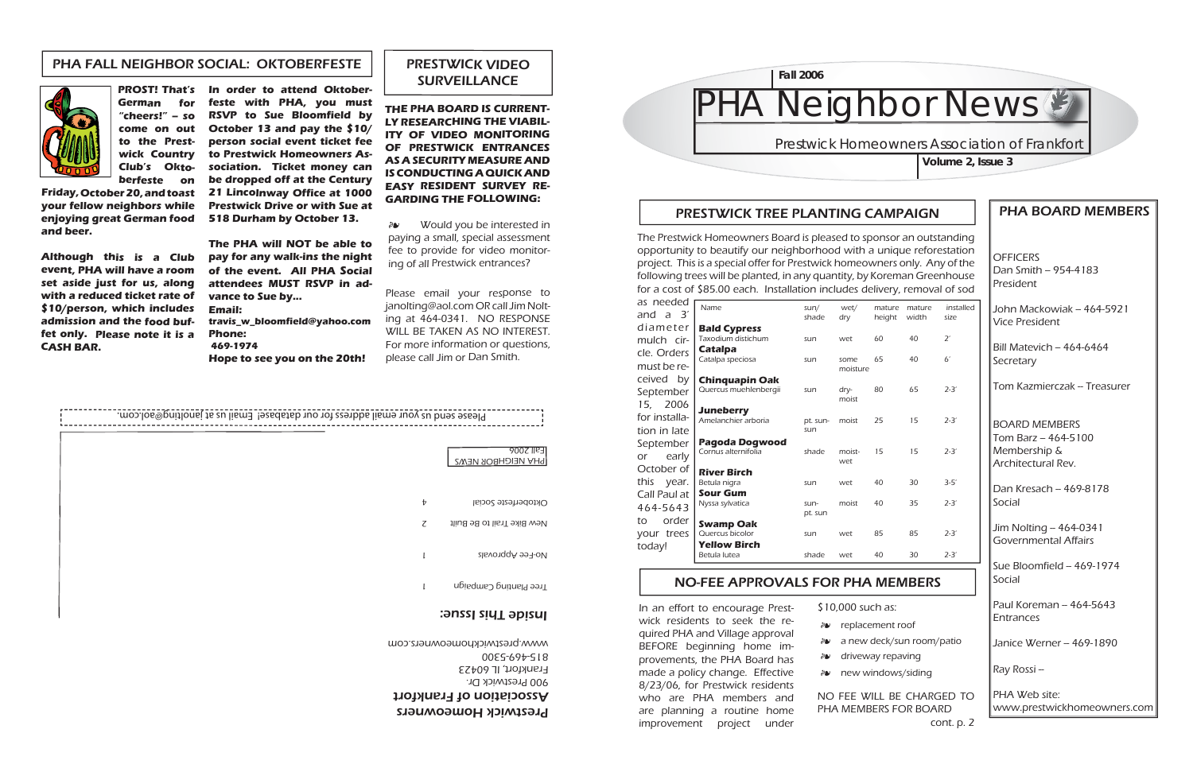**OFFICERS** Dan Smith  $-954-4183$ President

### PHA BOARD MEMBERS

John Mackowiak -- 464-5921 Vice President

Bill Matevich – 464-6464 Secretary

Tom Kazmierczak – Treasurer

 $\vert$ Dan Kresach – 469-8178 Social

 $\vert$ Jim Nolting - 464-0341 Governmental Affairs

Sue Bloomfield -- 469-1974 Social

Paul Koreman – 464-5643 Entrances

Janice Werner – 469-1890

BOARD MEMBERS $\textsf{Tom}$  Barz -- 464-5100 Membership & Architectural Rev.

Ray Rossi --

PHA Web site:www.prestwickhomeowners.com

# **HA Neighbor News & Prestwick Homeowners Association of Frankfort Volume 2, Issue 3 Fall 2006**

### PRESTWICK TREE PLANTING CAMPAIGN

## NO-FEE APPROVALS FOR PHA MEMBERS

\$10,000 such as:

replacement roof -

*a* a new deck/sun room/patio

driveway repaving -

*a* new windows/siding

NO FEE WILL BE CHARGED TO PHA MEMBERS FOR BOARD cont. p. 2

In an effort to encourage Prestwick residents to seek the required PHA and Village approval BEFORE beginning home improvements, the PHA Board has made a policy change. Effective 8/23/06, for Prestwick residents who are PHA members and are planning a routine home improvement project under

|                 | nature mature<br>eight width | installed<br>size |
|-----------------|------------------------------|-------------------|
| 0               | 40                           | $2^\prime$        |
| 5               | 40                           | 6'                |
| 3O              | 65                           | $2 - 3'$          |
| $\overline{.5}$ | 15                           | $2 - 3'$          |
| 5               | 15                           | $2 - 3'$          |
| ŀО              | 30                           | $3 - 5'$          |
| $\overline{0}$  | 35                           | $2 - 3'$          |
| 35              | 85                           | $2 - 3'$          |
| $\overline{0}$  | 30                           | $2 - 3'$          |

Would you be interested in paying a small, special assessment fee to provide for video monitoring of all Prestwick entrances?  $\partial \mathbf{v}$ 

**and beer.**

**Although this is a Club event, PHA will have a room set aside just for us, along with a reduced ticket rate of \$10/person, which includes admission and the food buffet only. Please note it is a CASH BAR.**

**PROST! That's In order to attend Oktober-German for "cheers!" -- so come on out to the Prestwick Country Club's Oktoberfeste on Friday, October 20, and toast your fellow neighbors while enjoying great German food feste with PHA, you must RSVP to Sue Bloomfield by October 13 and pay the \$10/ person social event ticket fee to Prestwick Homeowners Association. Ticket money can be dropped off at the Century 21 Lincolnway Office at 1000 Prestwick Drive or with Sue at** 

**518 Durham by October 13. The PHA will NOT be able to pay for any walk-ins the night of the event. All PHA Social attendees MUST RSVP in advance to Sue by... Email:**

**travis\_w\_bloomfield@yahoo.com Phone: 469-1974Hope to see you on the 20th!**

> Prestwick Homeowners Association of Frankfort 900 Prestwick Dr. Frankfort, IL 60423 815-469-5300

### PRESTWICK VIDEO SURVEILLANCE

**THE PHA BOARD IS CURRENT-LY RESEARCHING THE VIABIL-ITY OF VIDEO MONITORING OF PRESTWICK ENTRANCES AS A SECURITY MEASURE AND IS CONDUCTING A QUICK AND EASY RESIDENT SURVEY RE-GARDING THE FOLLOWING:**



Please email your response to janolting@aol.com OR call Jim Nolting at 464-0341. NO RESPONSE WILL BE TAKEN AS NO INTEREST. For more information or questions, please call Jim or Dan Smith.

### PHA FALL NEIGHBOR SOCIAL: OKTOBERFESTE



The Prestwick Homeowners Board is pleased to sponsor an outstanding opportunity to beautify our neighborhood with a unique reforestation project. This is a special offer for Prestwick homeowners only. Any of the following trees will be planted, in any quantity, by Koreman Greenhouse for a cost of \$85.00 each. Installation includes delivery, removal of sod

| as needed            |                                     |               |                  |                  |                 |                   |
|----------------------|-------------------------------------|---------------|------------------|------------------|-----------------|-------------------|
| a 3′<br>and          | Name                                | sum/<br>shade | wet/<br>dry      | mature<br>height | mature<br>width | installed<br>size |
| diameter             | <b>Bald Cypress</b>                 |               |                  |                  |                 |                   |
| mulch cir-           | Taxodium distichum                  | sun           | wet              | 60               | 40              | $2^{\prime}$      |
| cle. Orders          | Catalpa                             |               |                  |                  |                 |                   |
| must be re-          | Catalpa speciosa                    | sun           | some<br>moisture | 65               | 40              | 6 <sup>′</sup>    |
| ceived by            | Chinquapin Oak                      |               |                  |                  |                 |                   |
| September            | Quercus muehlenbergii               | sun           | dry-             | 80               | 65              | $2 - 3'$          |
| 2006<br>15,          | <b>Juneberry</b>                    |               | moist            |                  |                 |                   |
| for installa-        | Amelanchier arboria                 | pt. sun-      | moist            | 25               | 15              | $2 - 3'$          |
| tion in late         |                                     | sun           |                  |                  |                 |                   |
| September            | Pagoda Dogwood                      |               |                  |                  |                 |                   |
| early<br>or          | Cornus alternifolia                 | shade         | moist-<br>wet    | 15               | 15              | $2 - 3'$          |
| October of           | <b>River Birch</b>                  |               |                  |                  |                 |                   |
| this<br>year.        | Betula nigra                        | sun           | wet              | 40               | 30              | $3 - 5'$          |
| Call Paul at         | <b>Sour Gum</b>                     |               |                  |                  |                 |                   |
| 464-5643             |                                     | sun-          | moist            |                  |                 |                   |
| order<br>to          |                                     |               |                  |                  |                 |                   |
|                      | Quercus bicolor                     | sun           | wet              | 85               | 85              | $2 - 3'$          |
|                      | <b>Yellow Birch</b>                 |               |                  |                  |                 |                   |
|                      | Betula lutea                        | shade         | wet              | 40               | 30              | $2 - 3'$          |
| your trees<br>today! | Nyssa sylvatica<br><b>Swamp Oak</b> | pt. sun       |                  | 40               | 35              | $2 - 3'$          |